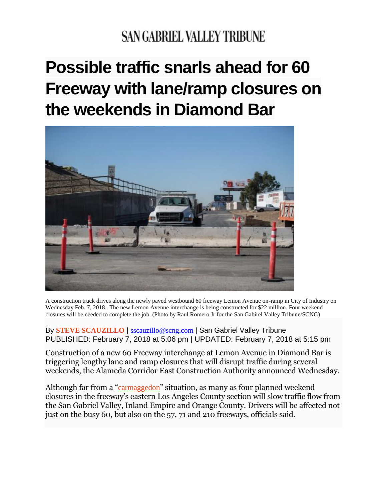## **SAN GABRIEL VALLEY TRIBUNE**

## **Possible traffic snarls ahead for 60 Freeway with lane/ramp closures on the weekends in Diamond Bar**



A construction truck drives along the newly paved westbound 60 freeway Lemon Avenue on-ramp in City of Industry on Wednesday Feb. 7, 2018.. The new Lemon Avenue interchange is being constructed for \$22 million. Four weekend closures will be needed to complete the job. (Photo by Raul Romero Jr for the San Gabirel Valley Tribune/SCNG)

By **STEVE [SCAUZILLO](https://www.sgvtribune.com/author/steve-scauzillo/)** | [sscauzillo@scng.com](mailto:sscauzillo@scng.com) | San Gabriel Valley Tribune PUBLISHED: February 7, 2018 at 5:06 pm | UPDATED: February 7, 2018 at 5:15 pm

Construction of a new 60 Freeway interchange at Lemon Avenue in Diamond Bar is triggering lengthy lane and ramp closures that will disrupt traffic during several weekends, the Alameda Corridor East Construction Authority announced Wednesday.

Although far from a "[carmaggedon](https://www.dailynews.com/2014/05/23/northbound-car-pool-lane-opens-on-the-405-freeway-at-sepulveda-pass/)" situation, as many as four planned weekend closures in the freeway's eastern Los Angeles County section will slow traffic flow from the San Gabriel Valley, Inland Empire and Orange County. Drivers will be affected not just on the busy 60, but also on the 57, 71 and 210 freeways, officials said.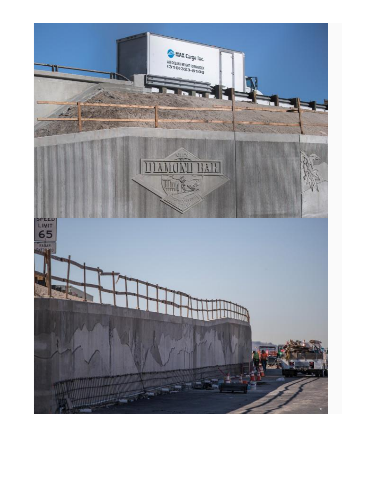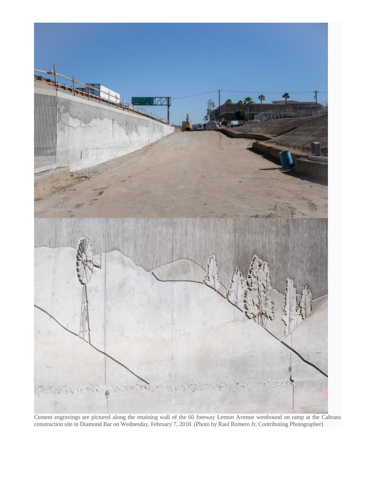

Cement engravings are pictured along the retaining wall of the 60 freeway Lemon Avenue westbound on ramp at the Caltrans construction site in Diamond Bar on Wednesday, February 7, 2018. (Photo by Raul Romero Jr, Contributing Photographer)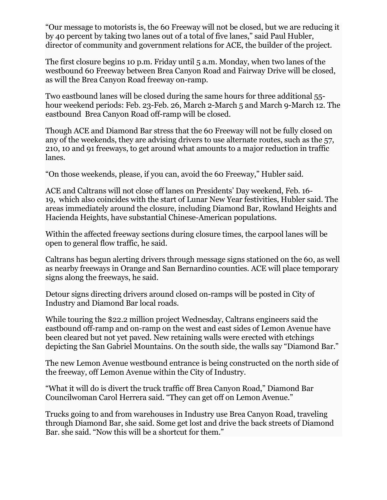"Our message to motorists is, the 60 Freeway will not be closed, but we are reducing it by 40 percent by taking two lanes out of a total of five lanes," said Paul Hubler, director of community and government relations for ACE, the builder of the project.

The first closure begins 10 p.m. Friday until 5 a.m. Monday, when two lanes of the westbound 60 Freeway between Brea Canyon Road and Fairway Drive will be closed, as will the Brea Canyon Road freeway on-ramp.

Two eastbound lanes will be closed during the same hours for three additional 55 hour weekend periods: Feb. 23-Feb. 26, March 2-March 5 and March 9-March 12. The eastbound Brea Canyon Road off-ramp will be closed.

Though ACE and Diamond Bar stress that the 60 Freeway will not be fully closed on any of the weekends, they are advising drivers to use alternate routes, such as the 57, 210, 10 and 91 freeways, to get around what amounts to a major reduction in traffic lanes.

"On those weekends, please, if you can, avoid the 60 Freeway," Hubler said.

ACE and Caltrans will not close off lanes on Presidents' Day weekend, Feb. 16- 19, which also coincides with the start of Lunar New Year festivities, Hubler said. The areas immediately around the closure, including Diamond Bar, Rowland Heights and Hacienda Heights, have substantial Chinese-American populations.

Within the affected freeway sections during closure times, the carpool lanes will be open to general flow traffic, he said.

Caltrans has begun alerting drivers through message signs stationed on the 60, as well as nearby freeways in Orange and San Bernardino counties. ACE will place temporary signs along the freeways, he said.

Detour signs directing drivers around closed on-ramps will be posted in City of Industry and Diamond Bar local roads.

While touring the \$22.2 million project Wednesday, Caltrans engineers said the eastbound off-ramp and on-ramp on the west and east sides of Lemon Avenue have been cleared but not yet paved. New retaining walls were erected with etchings depicting the San Gabriel Mountains. On the south side, the walls say "Diamond Bar."

The new Lemon Avenue westbound entrance is being constructed on the north side of the freeway, off Lemon Avenue within the City of Industry.

"What it will do is divert the truck traffic off Brea Canyon Road," Diamond Bar Councilwoman Carol Herrera said. "They can get off on Lemon Avenue."

Trucks going to and from warehouses in Industry use Brea Canyon Road, traveling through Diamond Bar, she said. Some get lost and drive the back streets of Diamond Bar. she said. "Now this will be a shortcut for them."